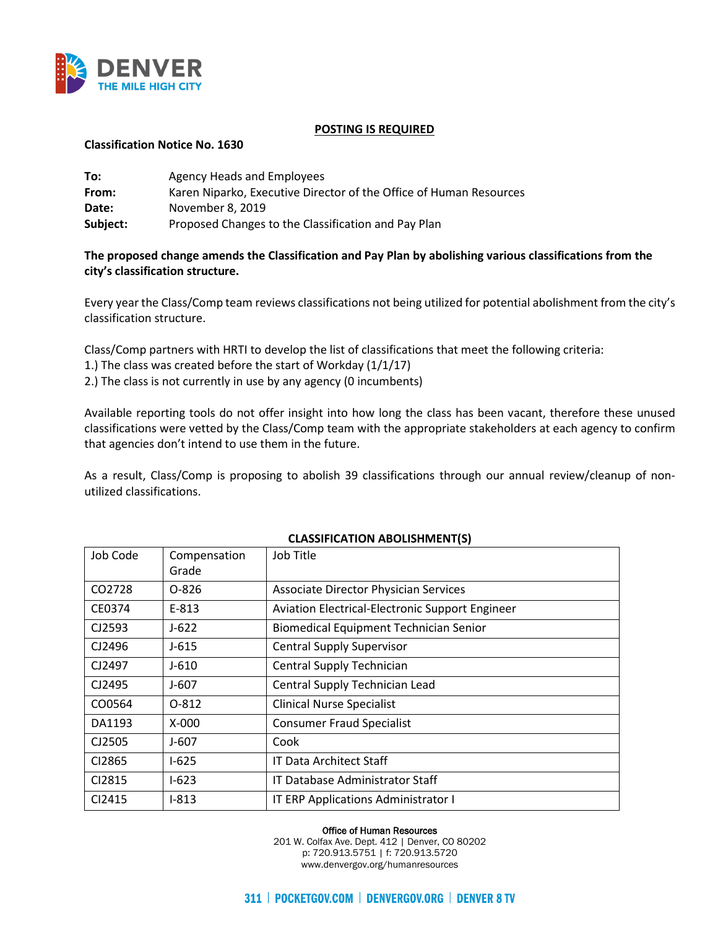

### **POSTING IS REQUIRED**

### **Classification Notice No. 1630**

| To:      | Agency Heads and Employees                                         |
|----------|--------------------------------------------------------------------|
| From:    | Karen Niparko, Executive Director of the Office of Human Resources |
| Date:    | November 8, 2019                                                   |
| Subject: | Proposed Changes to the Classification and Pay Plan                |

## **The proposed change amends the Classification and Pay Plan by abolishing various classifications from the city's classification structure.**

Every year the Class/Comp team reviews classifications not being utilized for potential abolishment from the city's classification structure.

Class/Comp partners with HRTI to develop the list of classifications that meet the following criteria:

1.) The class was created before the start of Workday (1/1/17)

2.) The class is not currently in use by any agency (0 incumbents)

Available reporting tools do not offer insight into how long the class has been vacant, therefore these unused classifications were vetted by the Class/Comp team with the appropriate stakeholders at each agency to confirm that agencies don't intend to use them in the future.

As a result, Class/Comp is proposing to abolish 39 classifications through our annual review/cleanup of nonutilized classifications.

| Job Code | Compensation<br>Grade | Job Title                                       |
|----------|-----------------------|-------------------------------------------------|
| CO2728   | $O-826$               | <b>Associate Director Physician Services</b>    |
| CE0374   | E-813                 | Aviation Electrical-Electronic Support Engineer |
| CJ2593   | $J - 622$             | <b>Biomedical Equipment Technician Senior</b>   |
| CJ2496   | J-615                 | <b>Central Supply Supervisor</b>                |
| CJ2497   | J-610                 | <b>Central Supply Technician</b>                |
| CJ2495   | J-607                 | Central Supply Technician Lead                  |
| CO0564   | 0-812                 | <b>Clinical Nurse Specialist</b>                |
| DA1193   | $X-000$               | <b>Consumer Fraud Specialist</b>                |
| CJ2505   | J-607                 | Cook                                            |
| CI2865   | $1-625$               | IT Data Architect Staff                         |
| CI2815   | $1-623$               | <b>IT Database Administrator Staff</b>          |
| CI2415   | $I-813$               | IT ERP Applications Administrator I             |

### **CLASSIFICATION ABOLISHMENT(S)**

Office of Human Resources

201 W. Colfax Ave. Dept. 412 | Denver, CO 80202 p: 720.913.5751 | f: 720.913.5720 www.denvergov.org/humanresources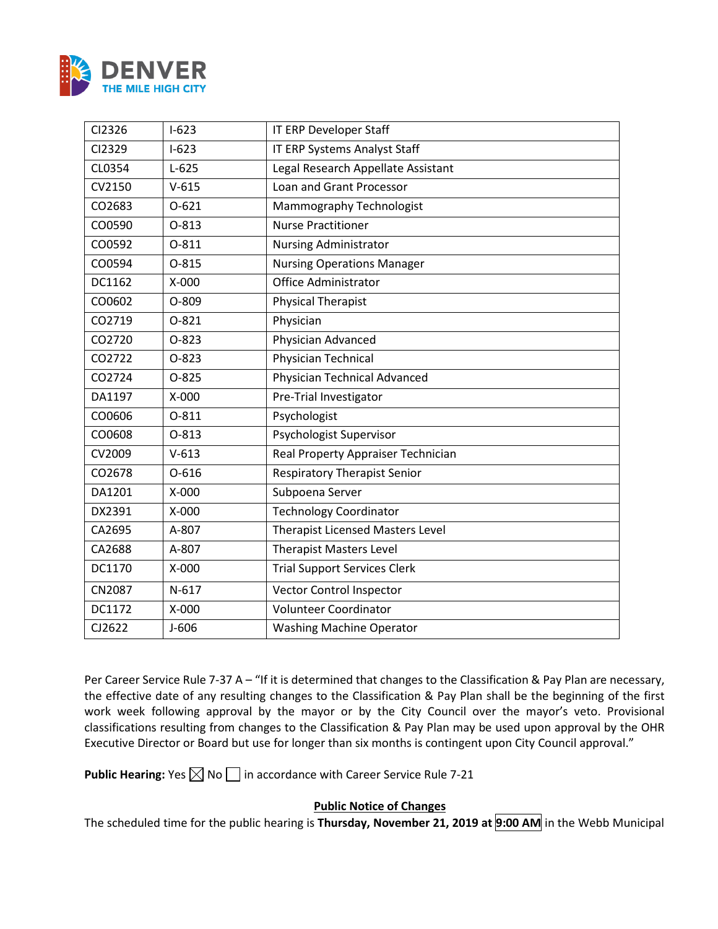

| CI2326 | $I-623$   | IT ERP Developer Staff                  |
|--------|-----------|-----------------------------------------|
| CI2329 | $I-623$   | IT ERP Systems Analyst Staff            |
| CL0354 | $L-625$   | Legal Research Appellate Assistant      |
| CV2150 | $V-615$   | Loan and Grant Processor                |
| CO2683 | $O-621$   | Mammography Technologist                |
| CO0590 | $O-813$   | <b>Nurse Practitioner</b>               |
| CO0592 | $0 - 811$ | <b>Nursing Administrator</b>            |
| CO0594 | $O-815$   | <b>Nursing Operations Manager</b>       |
| DC1162 | $X-000$   | <b>Office Administrator</b>             |
| CO0602 | O-809     | <b>Physical Therapist</b>               |
| CO2719 | $0 - 821$ | Physician                               |
| CO2720 | $O-823$   | Physician Advanced                      |
| CO2722 | $O-823$   | Physician Technical                     |
| CO2724 | $O-825$   | <b>Physician Technical Advanced</b>     |
| DA1197 | X-000     | Pre-Trial Investigator                  |
| CO0606 | $0 - 811$ | Psychologist                            |
| CO0608 | $O-813$   | Psychologist Supervisor                 |
| CV2009 | $V - 613$ | Real Property Appraiser Technician      |
| CO2678 | $O - 616$ | <b>Respiratory Therapist Senior</b>     |
| DA1201 | X-000     | Subpoena Server                         |
| DX2391 | X-000     | <b>Technology Coordinator</b>           |
| CA2695 | A-807     | <b>Therapist Licensed Masters Level</b> |
| CA2688 | A-807     | <b>Therapist Masters Level</b>          |
| DC1170 | $X-000$   | <b>Trial Support Services Clerk</b>     |
| CN2087 | $N-617$   | Vector Control Inspector                |
| DC1172 | X-000     | <b>Volunteer Coordinator</b>            |
| CJ2622 | $J-606$   | <b>Washing Machine Operator</b>         |

Per Career Service Rule 7-37 A – "If it is determined that changes to the Classification & Pay Plan are necessary, the effective date of any resulting changes to the Classification & Pay Plan shall be the beginning of the first work week following approval by the mayor or by the City Council over the mayor's veto. Provisional classifications resulting from changes to the Classification & Pay Plan may be used upon approval by the OHR Executive Director or Board but use for longer than six months is contingent upon City Council approval."

**Public Hearing:** Yes  $\boxtimes$  No  $\Box$  in accordance with Career Service Rule 7-21

# **Public Notice of Changes**

The scheduled time for the public hearing is **Thursday, November 21, 2019 at 9:00 AM** in the Webb Municipal